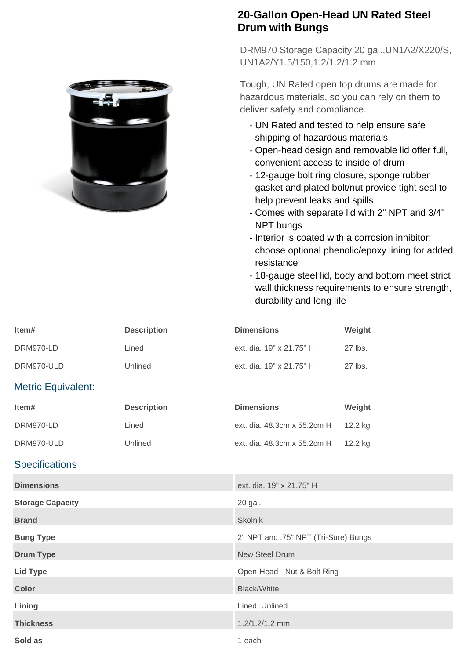## **20-Gallon Open-Head UN Rated Steel Drum with Bungs**

DRM970 Storage Capacity 20 gal.,UN1A2/X220/S, UN1A2/Y1.5/150,1.2/1.2/1.2 mm

Tough, UN Rated open top drums are made for hazardous materials, so you can rely on them to deliver safety and compliance.

- UN Rated and tested to help ensure safe shipping of hazardous materials
- Open-head design and removable lid offer full, convenient access to inside of drum
- 12-gauge bolt ring closure, sponge rubber gasket and plated bolt/nut provide tight seal to help prevent leaks and spills
- Comes with separate lid with 2" NPT and 3/4" NPT bungs
- Interior is coated with a corrosion inhibitor; choose optional phenolic/epoxy lining for added resistance
- 18-gauge steel lid, body and bottom meet strict wall thickness requirements to ensure strength, durability and long life

| ltem#      | <b>Description</b> | <b>Dimensions</b>        | Weight  |
|------------|--------------------|--------------------------|---------|
| DRM970-LD  | Lined              | ext. dia. 19" x 21.75" H | 27 lbs. |
| DRM970-ULD | Unlined            | ext. dia. 19" x 21.75" H | 27 lbs. |

## Metric Equivalent:

| Item#                   | <b>Description</b> | <b>Dimensions</b>                    | Weight  |
|-------------------------|--------------------|--------------------------------------|---------|
| DRM970-LD               | Lined              | ext. dia. 48.3cm x 55.2cm H          | 12.2 kg |
| DRM970-ULD              | Unlined            | ext. dia. 48.3cm x 55.2cm H          | 12.2 kg |
| <b>Specifications</b>   |                    |                                      |         |
| <b>Dimensions</b>       |                    | ext. dia. 19" x 21.75" H             |         |
| <b>Storage Capacity</b> |                    | 20 gal.                              |         |
| <b>Brand</b>            |                    | <b>Skolnik</b>                       |         |
| <b>Bung Type</b>        |                    | 2" NPT and .75" NPT (Tri-Sure) Bungs |         |
| <b>Drum Type</b>        |                    | <b>New Steel Drum</b>                |         |
| <b>Lid Type</b>         |                    | Open-Head - Nut & Bolt Ring          |         |
| <b>Color</b>            |                    | <b>Black/White</b>                   |         |
| Lining                  |                    | Lined; Unlined                       |         |
| <b>Thickness</b>        |                    | 1.2/1.2/1.2 mm                       |         |
| Sold as                 |                    | 1 each                               |         |